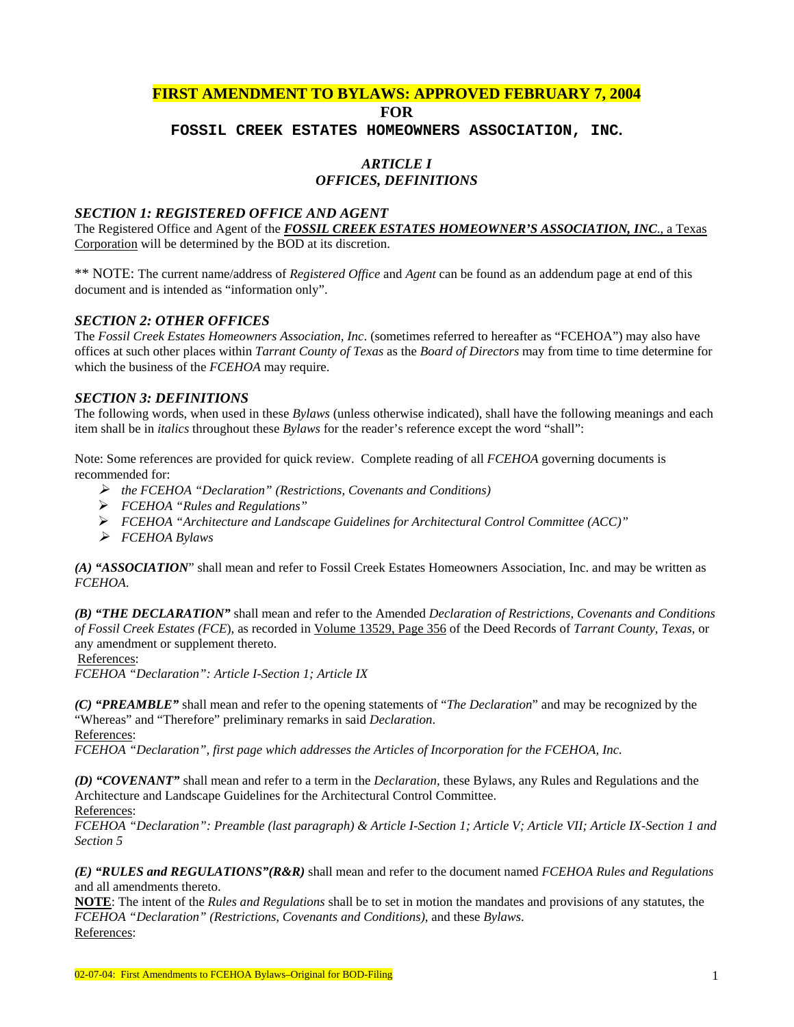# **FIRST AMENDMENT TO BYLAWS: APPROVED FEBRUARY 7, 2004 FOR**

**FOSSIL CREEK ESTATES HOMEOWNERS ASSOCIATION, INC.** 

### *ARTICLE I* *OFFICES, DEFINITIONS*

#### *SECTION 1: REGISTERED OFFICE AND AGENT*

The Registered Office and Agent of the *FOSSIL CREEK ESTATES HOMEOWNER'S ASSOCIATION, INC*., a Texas Corporation will be determined by the BOD at its discretion.

\*\* NOTE: The current name/address of *Registered Office* and *Agent* can be found as an addendum page at end of this document and is intended as "information only".

#### *SECTION 2: OTHER OFFICES*

The *Fossil Creek Estates Homeowners Association, Inc*. (sometimes referred to hereafter as "FCEHOA") may also have offices at such other places within *Tarrant County of Texas* as the *Board of Directors* may from time to time determine for which the business of the *FCEHOA* may require.

#### *SECTION 3: DEFINITIONS*

The following words, when used in these *Bylaws* (unless otherwise indicated), shall have the following meanings and each item shall be in *italics* throughout these *Bylaws* for the reader's reference except the word "shall":

Note: Some references are provided for quick review. Complete reading of all *FCEHOA* governing documents is recommended for:

- ¾ *the FCEHOA "Declaration" (Restrictions, Covenants and Conditions)*
- ¾ *FCEHOA "Rules and Regulations"*
- ¾ *FCEHOA "Architecture and Landscape Guidelines for Architectural Control Committee (ACC)"*
- ¾ *FCEHOA Bylaws*

*(A) "ASSOCIATION*" shall mean and refer to Fossil Creek Estates Homeowners Association, Inc. and may be written as *FCEHOA*.

*(B) "THE DECLARATION"* shall mean and refer to the Amended *Declaration of Restrictions, Covenants and Conditions of Fossil Creek Estates (FCE*), as recorded in Volume 13529, Page 356 of the Deed Records of *Tarrant County, Texas*, or any amendment or supplement thereto.

#### References:

*FCEHOA "Declaration": Article I-Section 1; Article IX* 

*(C) "PREAMBLE"* shall mean and refer to the opening statements of "*The Declaration*" and may be recognized by the "Whereas" and "Therefore" preliminary remarks in said *Declaration*.

References:

*FCEHOA "Declaration", first page which addresses the Articles of Incorporation for the FCEHOA, Inc.* 

*(D) "COVENANT"* shall mean and refer to a term in the *Declaration,* these Bylaws, any Rules and Regulations and the Architecture and Landscape Guidelines for the Architectural Control Committee. References:

*FCEHOA "Declaration": Preamble (last paragraph) & Article I-Section 1; Article V; Article VII; Article IX-Section 1 and Section 5* 

*(E) "RULES and REGULATIONS"(R&R)* shall mean and refer to the document named *FCEHOA Rules and Regulations* and all amendments thereto.

**NOTE**: The intent of the *Rules and Regulations* shall be to set in motion the mandates and provisions of any statutes, the *FCEHOA "Declaration" (Restrictions, Covenants and Conditions)*, and these *Bylaws*. References: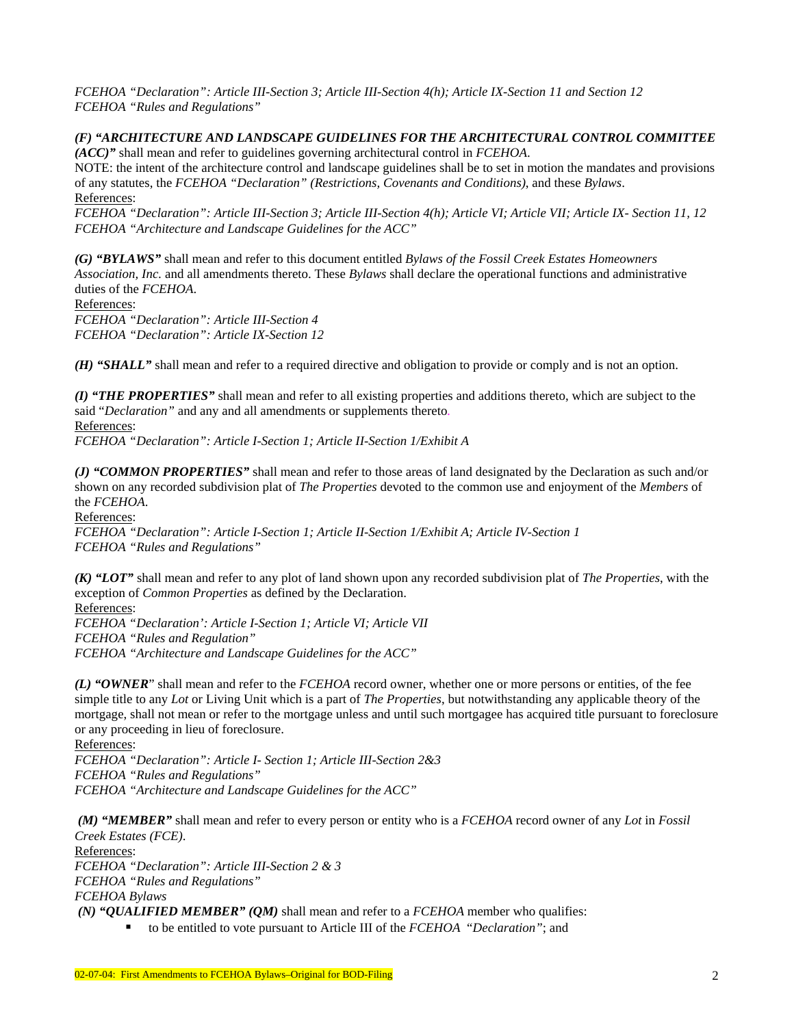*FCEHOA "Declaration": Article III-Section 3; Article III-Section 4(h); Article IX-Section 11 and Section 12 FCEHOA "Rules and Regulations"* 

*(F) "ARCHITECTURE AND LANDSCAPE GUIDELINES FOR THE ARCHITECTURAL CONTROL COMMITTEE (ACC)"* shall mean and refer to guidelines governing architectural control in *FCEHOA*.

NOTE: the intent of the architecture control and landscape guidelines shall be to set in motion the mandates and provisions of any statutes, the *FCEHOA "Declaration" (Restrictions, Covenants and Conditions)*, and these *Bylaws*. References:

*FCEHOA "Declaration": Article III-Section 3; Article III-Section 4(h); Article VI; Article VII; Article IX- Section 11, 12 FCEHOA "Architecture and Landscape Guidelines for the ACC"* 

*(G) "BYLAWS"* shall mean and refer to this document entitled *Bylaws of the Fossil Creek Estates Homeowners Association, Inc.* and all amendments thereto. These *Bylaws* shall declare the operational functions and administrative duties of the *FCEHOA*.

References:

*FCEHOA "Declaration": Article III-Section 4 FCEHOA "Declaration": Article IX-Section 12* 

*(H) "SHALL"* shall mean and refer to a required directive and obligation to provide or comply and is not an option.

*(I) "THE PROPERTIES"* shall mean and refer to all existing properties and additions thereto, which are subject to the said "*Declaration"* and any and all amendments or supplements thereto*.*  References:

*FCEHOA "Declaration": Article I-Section 1; Article II-Section 1/Exhibit A* 

*(J) "COMMON PROPERTIES"* shall mean and refer to those areas of land designated by the Declaration as such and/or shown on any recorded subdivision plat of *The Properties* devoted to the common use and enjoyment of the *Members* of the *FCEHOA*.

References:

*FCEHOA "Declaration": Article I-Section 1; Article II-Section 1/Exhibit A; Article IV-Section 1 FCEHOA "Rules and Regulations"*

*(K) "LOT"* shall mean and refer to any plot of land shown upon any recorded subdivision plat of *The Properties*, with the exception of *Common Properties* as defined by the Declaration.

References: *FCEHOA "Declaration': Article I-Section 1; Article VI; Article VII FCEHOA "Rules and Regulation" FCEHOA "Architecture and Landscape Guidelines for the ACC"* 

*(L) "OWNER*" shall mean and refer to the *FCEHOA* record owner, whether one or more persons or entities, of the fee simple title to any *Lot* or Living Unit which is a part of *The Properties*, but notwithstanding any applicable theory of the mortgage, shall not mean or refer to the mortgage unless and until such mortgagee has acquired title pursuant to foreclosure or any proceeding in lieu of foreclosure.

References: *FCEHOA "Declaration": Article I- Section 1; Article III-Section 2&3 FCEHOA "Rules and Regulations" FCEHOA "Architecture and Landscape Guidelines for the ACC"* 

*(M) "MEMBER"* shall mean and refer to every person or entity who is a *FCEHOA* record owner of any *Lot* in *Fossil Creek Estates (FCE)*.

References:

*FCEHOA "Declaration": Article III-Section 2 & 3 FCEHOA "Rules and Regulations" FCEHOA Bylaws* 

 *(N) "QUALIFIED MEMBER" (QM)* shall mean and refer to a *FCEHOA* member who qualifies:

to be entitled to vote pursuant to Article III of the *FCEHOA* "*Declaration"*; and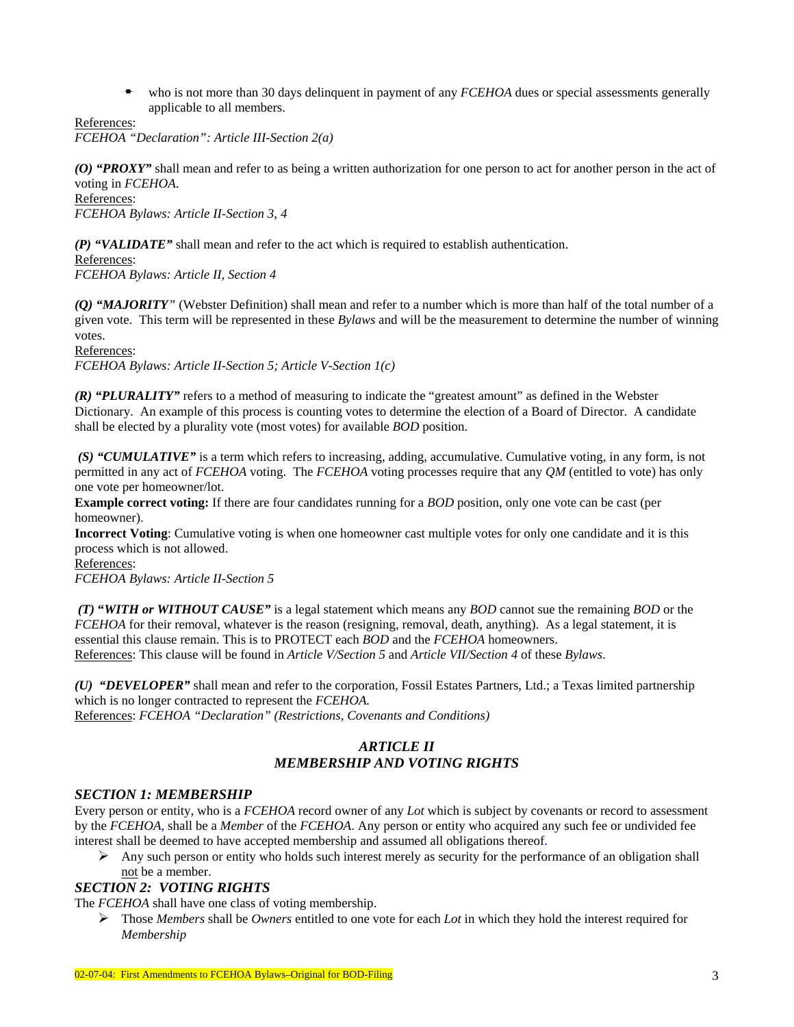who is not more than 30 days delinquent in payment of any *FCEHOA* dues or special assessments generally applicable to all members.

References:

*FCEHOA "Declaration": Article III-Section 2(a)* 

*(O) "PROXY"* shall mean and refer to as being a written authorization for one person to act for another person in the act of voting in *FCEHOA*.

References:

*FCEHOA Bylaws: Article II-Section 3, 4* 

*(P) "VALIDATE"* shall mean and refer to the act which is required to establish authentication.

References:

*FCEHOA Bylaws: Article II, Section 4* 

*(Q) "MAJORITY"* (Webster Definition) shall mean and refer to a number which is more than half of the total number of a given vote. This term will be represented in these *Bylaws* and will be the measurement to determine the number of winning votes.

References:

*FCEHOA Bylaws: Article II-Section 5; Article V-Section 1(c)* 

*(R) "PLURALITY"* refers to a method of measuring to indicate the "greatest amount" as defined in the Webster Dictionary. An example of this process is counting votes to determine the election of a Board of Director. A candidate shall be elected by a plurality vote (most votes) for available *BOD* position.

 *(S) "CUMULATIVE"* is a term which refers to increasing, adding, accumulative. Cumulative voting, in any form, is not permitted in any act of *FCEHOA* voting. The *FCEHOA* voting processes require that any *QM* (entitled to vote) has only one vote per homeowner/lot.

**Example correct voting:** If there are four candidates running for a *BOD* position, only one vote can be cast (per homeowner).

**Incorrect Voting**: Cumulative voting is when one homeowner cast multiple votes for only one candidate and it is this process which is not allowed.

References: *FCEHOA Bylaws: Article II-Section 5* 

 *(T)* **"***WITH or WITHOUT CAUSE"* is a legal statement which means any *BOD* cannot sue the remaining *BOD* or the *FCEHOA* for their removal, whatever is the reason (resigning, removal, death, anything). As a legal statement, it is essential this clause remain. This is to PROTECT each *BOD* and the *FCEHOA* homeowners. References: This clause will be found in *Article V/Section 5* and *Article VII/Section 4* of these *Bylaws*.

*(U) "DEVELOPER"* shall mean and refer to the corporation, Fossil Estates Partners, Ltd.; a Texas limited partnership which is no longer contracted to represent the *FCEHOA.* References: *FCEHOA "Declaration" (Restrictions, Covenants and Conditions)* 

### *ARTICLE II MEMBERSHIP AND VOTING RIGHTS*

#### *SECTION 1: MEMBERSHIP*

Every person or entity, who is a *FCEHOA* record owner of any *Lot* which is subject by covenants or record to assessment by the *FCEHOA*, shall be a *Member* of the *FCEHOA*. Any person or entity who acquired any such fee or undivided fee interest shall be deemed to have accepted membership and assumed all obligations thereof.

 $\triangleright$  Any such person or entity who holds such interest merely as security for the performance of an obligation shall not be a member.

### *SECTION 2: VOTING RIGHTS*

The *FCEHOA* shall have one class of voting membership.

¾ Those *Members* shall be *Owners* entitled to one vote for each *Lot* in which they hold the interest required for *Membership*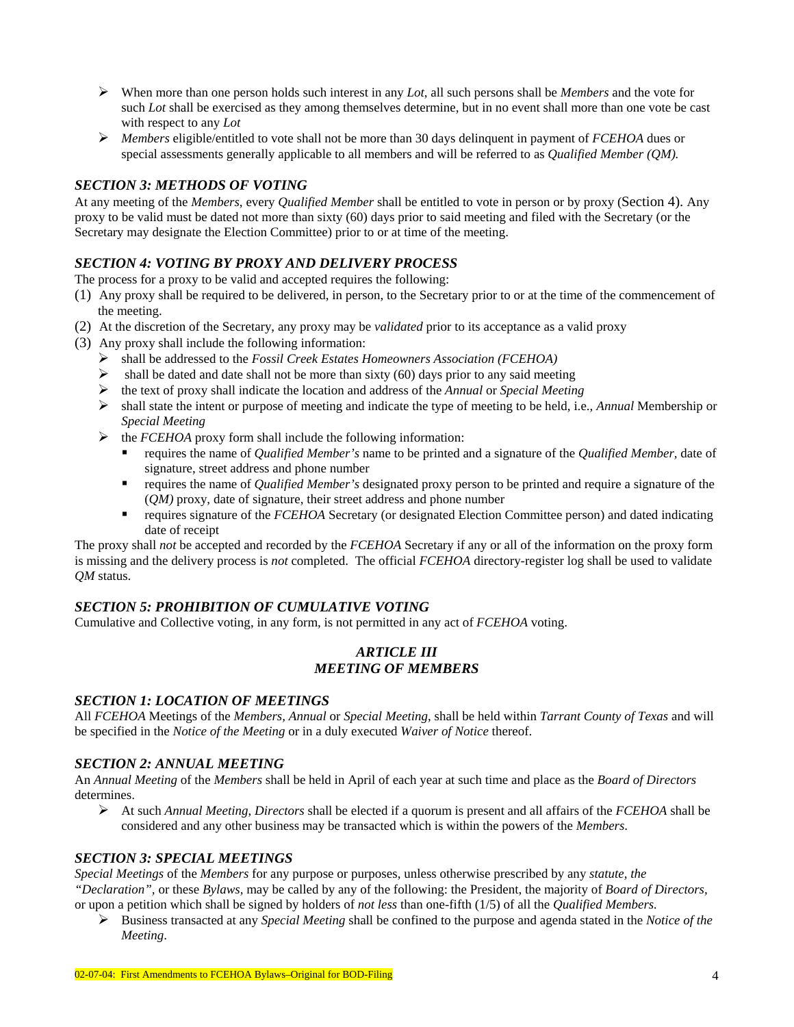- ¾ When more than one person holds such interest in any *Lot*, all such persons shall be *Members* and the vote for such *Lot* shall be exercised as they among themselves determine, but in no event shall more than one vote be cast with respect to any *Lot*
- ¾ *Members* eligible/entitled to vote shall not be more than 30 days delinquent in payment of *FCEHOA* dues or special assessments generally applicable to all members and will be referred to as *Qualified Member (QM).*

### *SECTION 3: METHODS OF VOTING*

At any meeting of the *Members*, every *Qualified Member* shall be entitled to vote in person or by proxy (Section 4). Any proxy to be valid must be dated not more than sixty (60) days prior to said meeting and filed with the Secretary (or the Secretary may designate the Election Committee) prior to or at time of the meeting.

## *SECTION 4: VOTING BY PROXY AND DELIVERY PROCESS*

The process for a proxy to be valid and accepted requires the following:

- (1) Any proxy shall be required to be delivered, in person, to the Secretary prior to or at the time of the commencement of the meeting.
- (2) At the discretion of the Secretary, any proxy may be *validated* prior to its acceptance as a valid proxy
- (3) Any proxy shall include the following information:
	- ¾ shall be addressed to the *Fossil Creek Estates Homeowners Association (FCEHOA)*
	- $\triangleright$  shall be dated and date shall not be more than sixty (60) days prior to any said meeting
	- ¾ the text of proxy shall indicate the location and address of the *Annual* or *Special Meeting*
	- ¾ shall state the intent or purpose of meeting and indicate the type of meeting to be held, i.e., *Annual* Membership or *Special Meeting*
	- ¾ the *FCEHOA* proxy form shall include the following information:
		- requires the name of *Qualified Member's* name to be printed and a signature of the *Qualified Member,* date of signature, street address and phone number
		- requires the name of *Qualified Member's* designated proxy person to be printed and require a signature of the (*QM)* proxy, date of signature, their street address and phone number
		- requires signature of the *FCEHOA* Secretary (or designated Election Committee person) and dated indicating date of receipt

The proxy shall *not* be accepted and recorded by the *FCEHOA* Secretary if any or all of the information on the proxy form is missing and the delivery process is *not* completed. The official *FCEHOA* directory-register log shall be used to validate *QM* status.

### *SECTION 5: PROHIBITION OF CUMULATIVE VOTING*

Cumulative and Collective voting, in any form, is not permitted in any act of *FCEHOA* voting.

### *ARTICLE III MEETING OF MEMBERS*

### *SECTION 1: LOCATION OF MEETINGS*

All *FCEHOA* Meetings of the *Members, Annual* or *Special Meeting*, shall be held within *Tarrant County of Texas* and will be specified in the *Notice of the Meeting* or in a duly executed *Waiver of Notice* thereof.

### *SECTION 2: ANNUAL MEETING*

An *Annual Meeting* of the *Members* shall be held in April of each year at such time and place as the *Board of Directors* determines.

¾ At such *Annual Meeting*, *Directors* shall be elected if a quorum is present and all affairs of the *FCEHOA* shall be considered and any other business may be transacted which is within the powers of the *Members*.

### *SECTION 3: SPECIAL MEETINGS*

*Special Meetings* of the *Members* for any purpose or purposes, unless otherwise prescribed by any *statute, the "Declaration",* or these *Bylaws,* may be called by any of the following: the President, the majority of *Board of Directors,*  or upon a petition which shall be signed by holders of *not less* than one-fifth (1/5) of all the *Qualified Members.*

¾ Business transacted at any *Special Meeting* shall be confined to the purpose and agenda stated in the *Notice of the Meeting*.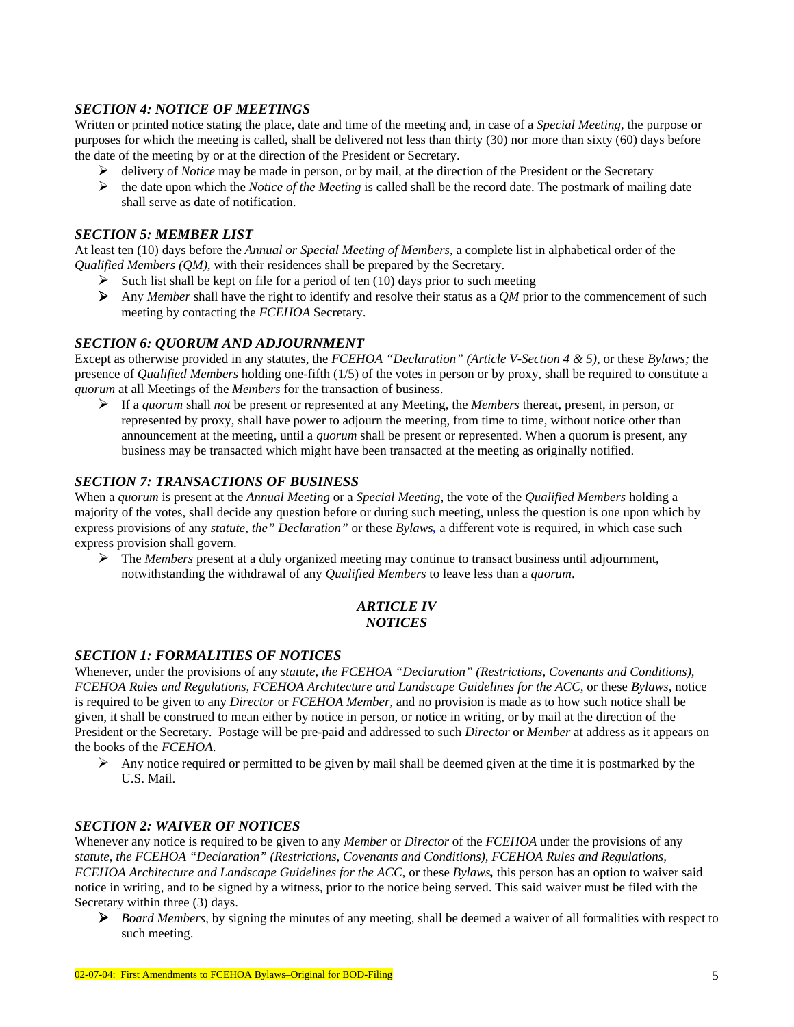#### *SECTION 4: NOTICE OF MEETINGS*

Written or printed notice stating the place, date and time of the meeting and, in case of a *Special Meeting*, the purpose or purposes for which the meeting is called, shall be delivered not less than thirty (30) nor more than sixty (60) days before the date of the meeting by or at the direction of the President or Secretary.

- ¾ delivery of *Notice* may be made in person, or by mail, at the direction of the President or the Secretary
- ¾ the date upon which the *Notice of the Meeting* is called shall be the record date. The postmark of mailing date shall serve as date of notification.

### *SECTION 5: MEMBER LIST*

At least ten (10) days before the *Annual or Special Meeting of Members*, a complete list in alphabetical order of the *Qualified Members (QM)*, with their residences shall be prepared by the Secretary.

- $\triangleright$  Such list shall be kept on file for a period of ten (10) days prior to such meeting
- ¾ Any *Member* shall have the right to identify and resolve their status as a *QM* prior to the commencement of such meeting by contacting the *FCEHOA* Secretary.

#### *SECTION 6: QUORUM AND ADJOURNMENT*

Except as otherwise provided in any statutes, the *FCEHOA "Declaration" (Article V-Section 4 & 5)*, or these *Bylaws;* the presence of *Qualified Members* holding one-fifth (1/5) of the votes in person or by proxy, shall be required to constitute a *quorum* at all Meetings of the *Members* for the transaction of business.

¾ If a *quorum* shall *not* be present or represented at any Meeting, the *Members* thereat, present, in person, or represented by proxy, shall have power to adjourn the meeting, from time to time, without notice other than announcement at the meeting, until a *quorum* shall be present or represented. When a quorum is present, any business may be transacted which might have been transacted at the meeting as originally notified.

### *SECTION 7: TRANSACTIONS OF BUSINESS*

When a *quorum* is present at the *Annual Meeting* or a *Special Meeting*, the vote of the *Qualified Members* holding a majority of the votes, shall decide any question before or during such meeting, unless the question is one upon which by express provisions of any *statute, the" Declaration"* or these *Bylaws,* a different vote is required, in which case such express provision shall govern.

¾ The *Members* present at a duly organized meeting may continue to transact business until adjournment, notwithstanding the withdrawal of any *Qualified Members* to leave less than a *quorum*.

### *ARTICLE IV NOTICES*

### *SECTION 1: FORMALITIES OF NOTICES*

Whenever, under the provisions of any *statute, the FCEHOA "Declaration" (Restrictions, Covenants and Conditions), FCEHOA Rules and Regulations, FCEHOA Architecture and Landscape Guidelines for the ACC,* or these *Bylaws,* notice is required to be given to any *Director* or *FCEHOA Member,* and no provision is made as to how such notice shall be given, it shall be construed to mean either by notice in person, or notice in writing, or by mail at the direction of the President or the Secretary. Postage will be pre-paid and addressed to such *Director* or *Member* at address as it appears on the books of the *FCEHOA*.

Any notice required or permitted to be given by mail shall be deemed given at the time it is postmarked by the U.S. Mail.

#### *SECTION 2: WAIVER OF NOTICES*

Whenever any notice is required to be given to any *Member* or *Director* of the *FCEHOA* under the provisions of any *statute, the FCEHOA "Declaration" (Restrictions, Covenants and Conditions), FCEHOA Rules and Regulations, FCEHOA Architecture and Landscape Guidelines for the ACC,* or these *Bylaws,* this person has an option to waiver said notice in writing, and to be signed by a witness, prior to the notice being served. This said waiver must be filed with the Secretary within three (3) days.

¾ *Board Members*, by signing the minutes of any meeting, shall be deemed a waiver of all formalities with respect to such meeting.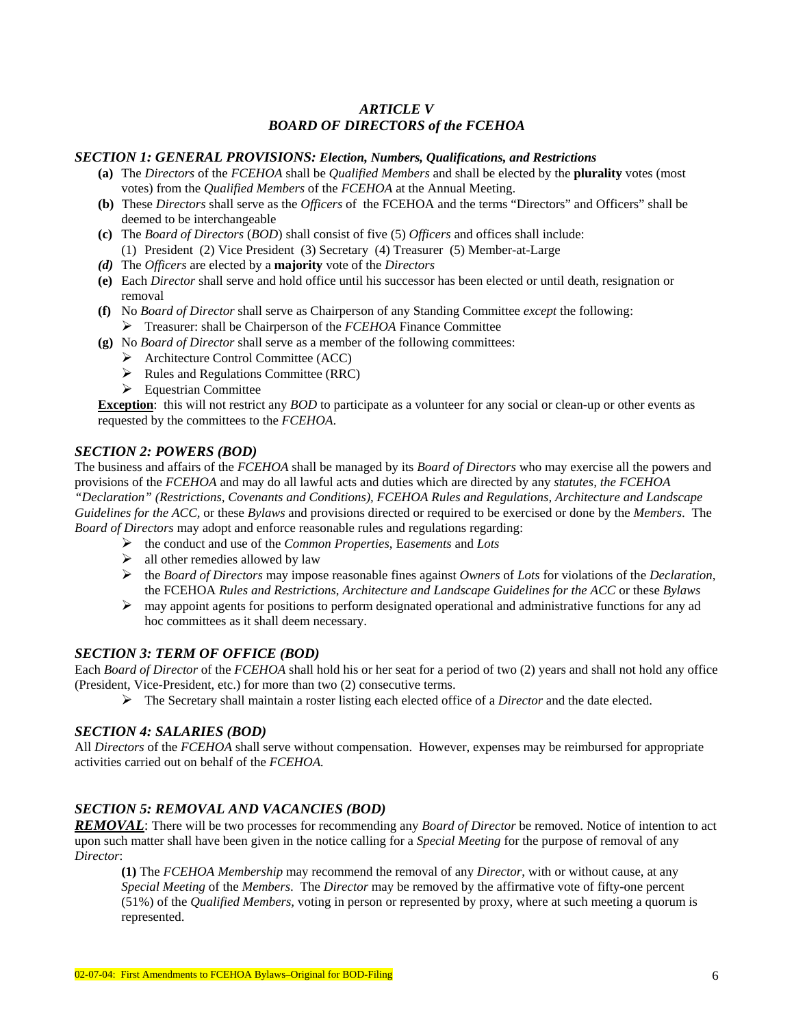# *ARTICLE V BOARD OF DIRECTORS of the FCEHOA*

#### *SECTION 1: GENERAL PROVISIONS: Election, Numbers, Qualifications, and Restrictions*

- **(a)** The *Directors* of the *FCEHOA* shall be *Qualified Members* and shall be elected by the **plurality** votes (most votes) from the *Qualified Members* of the *FCEHOA* at the Annual Meeting.
- **(b)** These *Directors* shall serve as the *Officers* of the FCEHOA and the terms "Directors" and Officers" shall be deemed to be interchangeable
- **(c)** The *Board of Directors* (*BOD*) shall consist of five (5) *Officers* and offices shall include: (1) President (2) Vice President (3) Secretary (4) Treasurer (5) Member-at-Large
- *(d)* The *Officers* are elected by a **majority** vote of the *Directors*
- **(e)** Each *Director* shall serve and hold office until his successor has been elected or until death, resignation or removal
- **(f)** No *Board of Director* shall serve as Chairperson of any Standing Committee *except* the following: ¾ Treasurer: shall be Chairperson of the *FCEHOA* Finance Committee
- **(g)** No *Board of Director* shall serve as a member of the following committees:
	- ¾ Architecture Control Committee (ACC)
	- $\triangleright$  Rules and Regulations Committee (RRC)
	- $\triangleright$  Equestrian Committee

**Exception**: this will not restrict any *BOD* to participate as a volunteer for any social or clean-up or other events as requested by the committees to the *FCEHOA*.

#### *SECTION 2: POWERS (BOD)*

The business and affairs of the *FCEHOA* shall be managed by its *Board of Directors* who may exercise all the powers and provisions of the *FCEHOA* and may do all lawful acts and duties which are directed by any *statutes, the FCEHOA "Declaration" (Restrictions, Covenants and Conditions), FCEHOA Rules and Regulations, Architecture and Landscape Guidelines for the ACC,* or these *Bylaws* and provisions directed or required to be exercised or done by the *Members*. The *Board of Directors* may adopt and enforce reasonable rules and regulations regarding:

- ¾ the conduct and use of the *Common Properties*, E*asements* and *Lots*
- $\triangleright$  all other remedies allowed by law
- ¾ the *Board of Directors* may impose reasonable fines against *Owners* of *Lots* for violations of the *Declaration*, the FCEHOA *Rules and Restrictions*, *Architecture and Landscape Guidelines for the ACC* or these *Bylaws*
- $\triangleright$  may appoint agents for positions to perform designated operational and administrative functions for any ad hoc committees as it shall deem necessary.

### *SECTION 3: TERM OF OFFICE (BOD)*

Each *Board of Director* of the *FCEHOA* shall hold his or her seat for a period of two (2) years and shall not hold any office (President, Vice-President, etc.) for more than two (2) consecutive terms.

¾ The Secretary shall maintain a roster listing each elected office of a *Director* and the date elected.

#### *SECTION 4: SALARIES (BOD)*

All *Directors* of the *FCEHOA* shall serve without compensation. However, expenses may be reimbursed for appropriate activities carried out on behalf of the *FCEHOA.* 

#### *SECTION 5: REMOVAL AND VACANCIES (BOD)*

*REMOVAL*: There will be two processes for recommending any *Board of Director* be removed. Notice of intention to act upon such matter shall have been given in the notice calling for a *Special Meeting* for the purpose of removal of any *Director*:

**(1)** The *FCEHOA Membership* may recommend the removal of any *Director*, with or without cause, at any *Special Meeting* of the *Members*. The *Director* may be removed by the affirmative vote of fifty-one percent (51%) of the *Qualified Members,* voting in person or represented by proxy, where at such meeting a quorum is represented.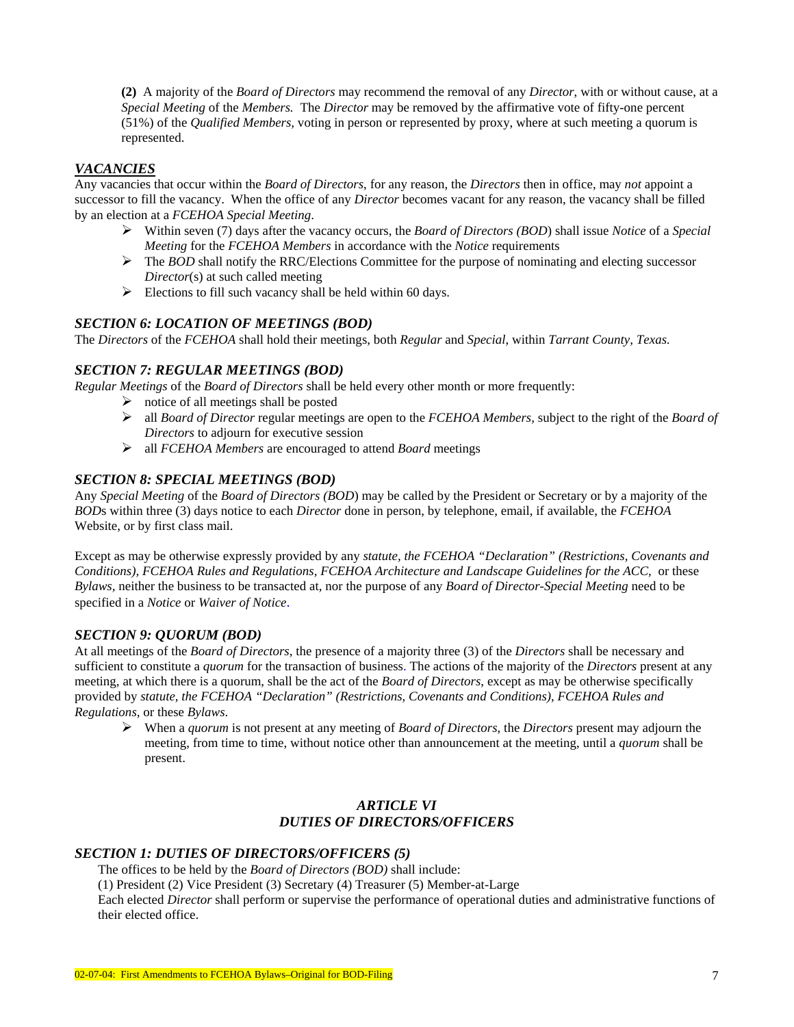**(2)** A majority of the *Board of Directors* may recommend the removal of any *Director*, with or without cause, at a *Special Meeting* of the *Members.* The *Director* may be removed by the affirmative vote of fifty-one percent (51%) of the *Qualified Members,* voting in person or represented by proxy, where at such meeting a quorum is represented.

### *VACANCIES*

Any vacancies that occur within the *Board of Directors*, for any reason, the *Directors* then in office, may *not* appoint a successor to fill the vacancy. When the office of any *Director* becomes vacant for any reason, the vacancy shall be filled by an election at a *FCEHOA Special Meeting*.

- ¾ Within seven (7) days after the vacancy occurs, the *Board of Directors (BOD*) shall issue *Notice* of a *Special Meeting* for the *FCEHOA Members* in accordance with the *Notice* requirements
- $\triangleright$  The *BOD* shall notify the RRC/Elections Committee for the purpose of nominating and electing successor *Director*(s) at such called meeting
- $\triangleright$  Elections to fill such vacancy shall be held within 60 days.

#### *SECTION 6: LOCATION OF MEETINGS (BOD)*

The *Directors* of the *FCEHOA* shall hold their meetings, both *Regular* and *Special*, within *Tarrant County, Texas.* 

### *SECTION 7: REGULAR MEETINGS (BOD)*

*Regular Meetings* of the *Board of Directors* shall be held every other month or more frequently:

- $\triangleright$  notice of all meetings shall be posted
- ¾ all *Board of Director* regular meetings are open to the *FCEHOA Members,* subject to the right of the *Board of Directors* to adjourn for executive session
- ¾ all *FCEHOA Members* are encouraged to attend *Board* meetings

#### *SECTION 8: SPECIAL MEETINGS (BOD)*

Any *Special Meeting* of the *Board of Directors (BOD*) may be called by the President or Secretary or by a majority of the *BOD*s within three (3) days notice to each *Director* done in person, by telephone, email, if available, the *FCEHOA* Website, or by first class mail.

Except as may be otherwise expressly provided by any *statute, the FCEHOA "Declaration" (Restrictions, Covenants and Conditions), FCEHOA Rules and Regulations, FCEHOA Architecture and Landscape Guidelines for the ACC,* or these *Bylaws,* neither the business to be transacted at, nor the purpose of any *Board of Director-Special Meeting* need to be specified in a *Notice* or *Waiver of Notice*.

#### *SECTION 9: QUORUM (BOD)*

At all meetings of the *Board of Directors*, the presence of a majority three (3) of the *Directors* shall be necessary and sufficient to constitute a *quorum* for the transaction of business. The actions of the majority of the *Directors* present at any meeting, at which there is a quorum, shall be the act of the *Board of Directors*, except as may be otherwise specifically provided by *statute, the FCEHOA "Declaration" (Restrictions, Covenants and Conditions), FCEHOA Rules and Regulations,* or these *Bylaws*.

¾ When a *quorum* is not present at any meeting of *Board of Directors*, the *Directors* present may adjourn the meeting, from time to time, without notice other than announcement at the meeting, until a *quorum* shall be present.

### *ARTICLE VI DUTIES OF DIRECTORS/OFFICERS*

#### *SECTION 1: DUTIES OF DIRECTORS/OFFICERS (5)*

The offices to be held by the *Board of Directors (BOD)* shall include:

(1) President (2) Vice President (3) Secretary (4) Treasurer (5) Member-at-Large

Each elected *Director* shall perform or supervise the performance of operational duties and administrative functions of their elected office.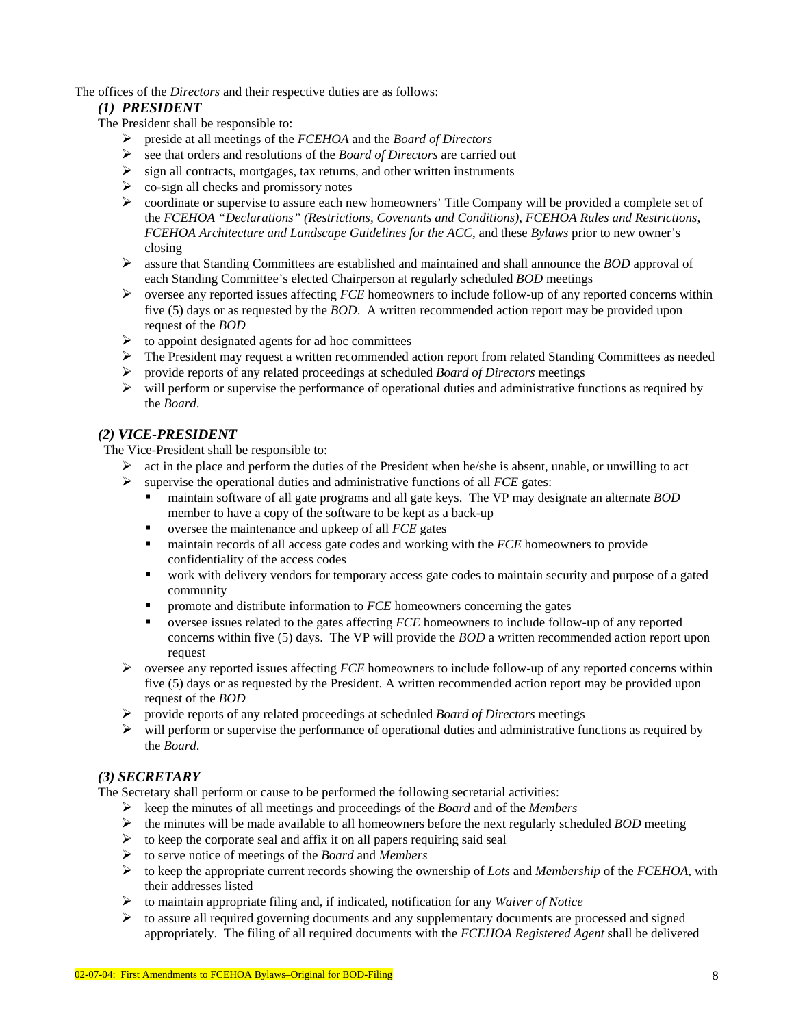The offices of the *Directors* and their respective duties are as follows:

### *(1) PRESIDENT*

The President shall be responsible to:

- ¾ preside at all meetings of the *FCEHOA* and the *Board of Directors*
- ¾ see that orders and resolutions of the *Board of Directors* are carried out
- $\triangleright$  sign all contracts, mortgages, tax returns, and other written instruments
- $\triangleright$  co-sign all checks and promissory notes
- $\triangleright$  coordinate or supervise to assure each new homeowners' Title Company will be provided a complete set of the *FCEHOA "Declarations" (Restrictions, Covenants and Conditions), FCEHOA Rules and Restrictions, FCEHOA Architecture and Landscape Guidelines for the ACC*, and these *Bylaws* prior to new owner's closing
- ¾ assure that Standing Committees are established and maintained and shall announce the *BOD* approval of each Standing Committee's elected Chairperson at regularly scheduled *BOD* meetings
- ¾ oversee any reported issues affecting *FCE* homeowners to include follow-up of any reported concerns within five (5) days or as requested by the *BOD*. A written recommended action report may be provided upon request of the *BOD*
- $\triangleright$  to appoint designated agents for ad hoc committees
- $\triangleright$  The President may request a written recommended action report from related Standing Committees as needed
- ¾ provide reports of any related proceedings at scheduled *Board of Directors* meetings
- $\triangleright$  will perform or supervise the performance of operational duties and administrative functions as required by the *Board*.

### *(2) VICE-PRESIDENT*

The Vice-President shall be responsible to:

- $\triangleright$  act in the place and perform the duties of the President when he/she is absent, unable, or unwilling to act
- ¾ supervise the operational duties and administrative functions of all *FCE* gates:
	- maintain software of all gate programs and all gate keys. The VP may designate an alternate *BOD* member to have a copy of the software to be kept as a back-up
	- oversee the maintenance and upkeep of all *FCE* gates
	- maintain records of all access gate codes and working with the *FCE* homeowners to provide confidentiality of the access codes
	- work with delivery vendors for temporary access gate codes to maintain security and purpose of a gated community
	- promote and distribute information to *FCE* homeowners concerning the gates
	- oversee issues related to the gates affecting *FCE* homeowners to include follow-up of any reported concerns within five (5) days. The VP will provide the *BOD* a written recommended action report upon request
- ¾ oversee any reported issues affecting *FCE* homeowners to include follow-up of any reported concerns within five (5) days or as requested by the President. A written recommended action report may be provided upon request of the *BOD*
- ¾ provide reports of any related proceedings at scheduled *Board of Directors* meetings
- $\triangleright$  will perform or supervise the performance of operational duties and administrative functions as required by the *Board*.

## *(3) SECRETARY*

The Secretary shall perform or cause to be performed the following secretarial activities:

- ¾ keep the minutes of all meetings and proceedings of the *Board* and of the *Members*
- $\triangleright$  the minutes will be made available to all homeowners before the next regularly scheduled *BOD* meeting
- $\triangleright$  to keep the corporate seal and affix it on all papers requiring said seal
- ¾ to serve notice of meetings of the *Board* and *Members*
- ¾ to keep the appropriate current records showing the ownership of *Lots* and *Membership* of the *FCEHOA*, with their addresses listed
- ¾ to maintain appropriate filing and, if indicated, notification for any *Waiver of Notice*
- $\triangleright$  to assure all required governing documents and any supplementary documents are processed and signed appropriately. The filing of all required documents with the *FCEHOA Registered Agent* shall be delivered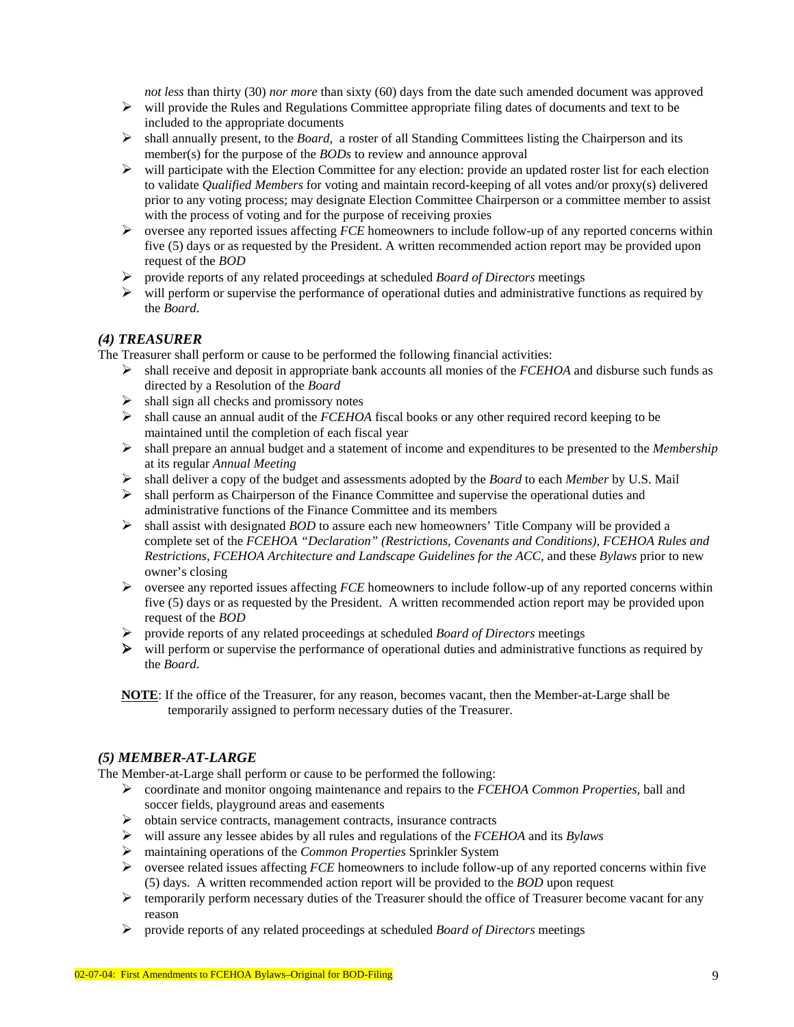*not less* than thirty (30) *nor more* than sixty (60) days from the date such amended document was approved

- $\triangleright$  will provide the Rules and Regulations Committee appropriate filing dates of documents and text to be included to the appropriate documents
- ¾ shall annually present, to the *Board,* a roster of all Standing Committees listing the Chairperson and its member(s) for the purpose of the *BODs* to review and announce approval
- $\triangleright$  will participate with the Election Committee for any election: provide an updated roster list for each election to validate *Qualified Members* for voting and maintain record-keeping of all votes and/or proxy(s) delivered prior to any voting process; may designate Election Committee Chairperson or a committee member to assist with the process of voting and for the purpose of receiving proxies
- ¾ oversee any reported issues affecting *FCE* homeowners to include follow-up of any reported concerns within five (5) days or as requested by the President. A written recommended action report may be provided upon request of the *BOD*
- ¾ provide reports of any related proceedings at scheduled *Board of Directors* meetings
- $\triangleright$  will perform or supervise the performance of operational duties and administrative functions as required by the *Board*.

### *(4) TREASURER*

The Treasurer shall perform or cause to be performed the following financial activities:

- ¾ shall receive and deposit in appropriate bank accounts all monies of the *FCEHOA* and disburse such funds as directed by a Resolution of the *Board*
- $\triangleright$  shall sign all checks and promissory notes
- ¾ shall cause an annual audit of the *FCEHOA* fiscal books or any other required record keeping to be maintained until the completion of each fiscal year
- ¾ shall prepare an annual budget and a statement of income and expenditures to be presented to the *Membership* at its regular *Annual Meeting*
- ¾ shall deliver a copy of the budget and assessments adopted by the *Board* to each *Member* by U.S. Mail
- ¾ shall perform as Chairperson of the Finance Committee and supervise the operational duties and administrative functions of the Finance Committee and its members
- ¾ shall assist with designated *BOD* to assure each new homeowners' Title Company will be provided a complete set of the *FCEHOA "Declaration" (Restrictions, Covenants and Conditions), FCEHOA Rules and Restrictions, FCEHOA Architecture and Landscape Guidelines for the ACC,* and these *Bylaws* prior to new owner's closing
- ¾ oversee any reported issues affecting *FCE* homeowners to include follow-up of any reported concerns within five (5) days or as requested by the President. A written recommended action report may be provided upon request of the *BOD*
- ¾ provide reports of any related proceedings at scheduled *Board of Directors* meetings
- ¾ will perform or supervise the performance of operational duties and administrative functions as required by the *Board*.
- **NOTE**: If the office of the Treasurer, for any reason, becomes vacant, then the Member-at-Large shall be temporarily assigned to perform necessary duties of the Treasurer.

#### *(5) MEMBER-AT-LARGE*

The Member-at-Large shall perform or cause to be performed the following:

- ¾ coordinate and monitor ongoing maintenance and repairs to the *FCEHOA Common Properties,* ball and soccer fields, playground areas and easements
- ¾ obtain service contracts, management contracts, insurance contracts
- ¾ will assure any lessee abides by all rules and regulations of the *FCEHOA* and its *Bylaws*
- ¾ maintaining operations of the *Common Properties* Sprinkler System
- ¾ oversee related issues affecting *FCE* homeowners to include follow-up of any reported concerns within five (5) days. A written recommended action report will be provided to the *BOD* upon request
- ¾ temporarily perform necessary duties of the Treasurer should the office of Treasurer become vacant for any reason
- ¾ provide reports of any related proceedings at scheduled *Board of Directors* meetings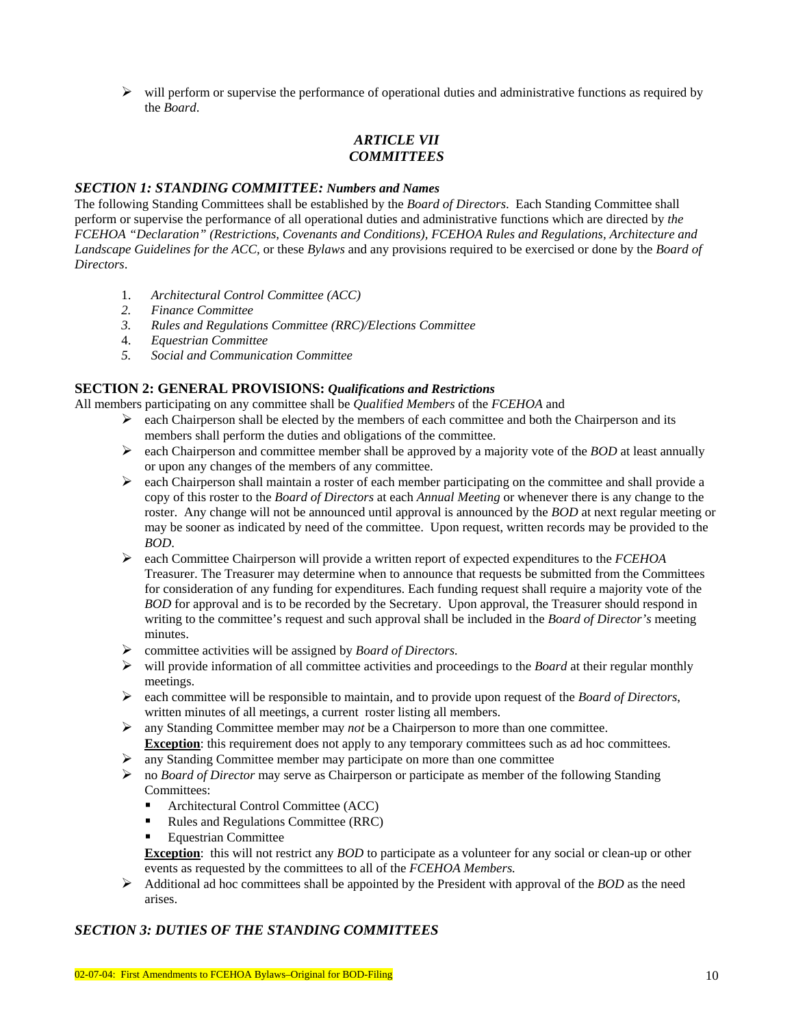$\triangleright$  will perform or supervise the performance of operational duties and administrative functions as required by the *Board*.

# *ARTICLE VII COMMITTEES*

#### *SECTION 1: STANDING COMMITTEE: Numbers and Names*

The following Standing Committees shall be established by the *Board of Directors*. Each Standing Committee shall perform or supervise the performance of all operational duties and administrative functions which are directed by *the FCEHOA "Declaration" (Restrictions, Covenants and Conditions), FCEHOA Rules and Regulations, Architecture and Landscape Guidelines for the ACC,* or these *Bylaws* and any provisions required to be exercised or done by the *Board of Directors*.

- 1. *Architectural Control Committee (ACC)*
- *2. Finance Committee*
- *3. Rules and Regulations Committee (RRC)/Elections Committee*
- 4. *Equestrian Committee*
- *5. Social and Communication Committee*

#### **SECTION 2: GENERAL PROVISIONS:** *Qualifications and Restrictions*

All members participating on any committee shall be *Quali*f*ied Members* of the *FCEHOA* and

- $\triangleright$  each Chairperson shall be elected by the members of each committee and both the Chairperson and its members shall perform the duties and obligations of the committee.
- ¾ each Chairperson and committee member shall be approved by a majority vote of the *BOD* at least annually or upon any changes of the members of any committee.
- $\triangleright$  each Chairperson shall maintain a roster of each member participating on the committee and shall provide a copy of this roster to the *Board of Directors* at each *Annual Meeting* or whenever there is any change to the roster. Any change will not be announced until approval is announced by the *BOD* at next regular meeting or may be sooner as indicated by need of the committee. Upon request, written records may be provided to the *BOD*.
- ¾ each Committee Chairperson will provide a written report of expected expenditures to the *FCEHOA* Treasurer. The Treasurer may determine when to announce that requests be submitted from the Committees for consideration of any funding for expenditures. Each funding request shall require a majority vote of the *BOD* for approval and is to be recorded by the Secretary. Upon approval, the Treasurer should respond in writing to the committee's request and such approval shall be included in the *Board of Director's* meeting minutes.
- ¾ committee activities will be assigned by *Board of Directors.*
- $\triangleright$  will provide information of all committee activities and proceedings to the *Board* at their regular monthly meetings.
- ¾ each committee will be responsible to maintain, and to provide upon request of the *Board of Directors*, written minutes of all meetings, a current roster listing all members.
- ¾ any Standing Committee member may *not* be a Chairperson to more than one committee. **Exception**: this requirement does not apply to any temporary committees such as ad hoc committees.
- $\triangleright$  any Standing Committee member may participate on more than one committee
- ¾ no *Board of Director* may serve as Chairperson or participate as member of the following Standing Committees:
	- Architectural Control Committee (ACC)
	- Rules and Regulations Committee (RRC)
	- Equestrian Committee

**Exception**: this will not restrict any *BOD* to participate as a volunteer for any social or clean-up or other events as requested by the committees to all of the *FCEHOA Members.*

 $\triangleright$  Additional ad hoc committees shall be appointed by the President with approval of the *BOD* as the need arises.

### *SECTION 3: DUTIES OF THE STANDING COMMITTEES*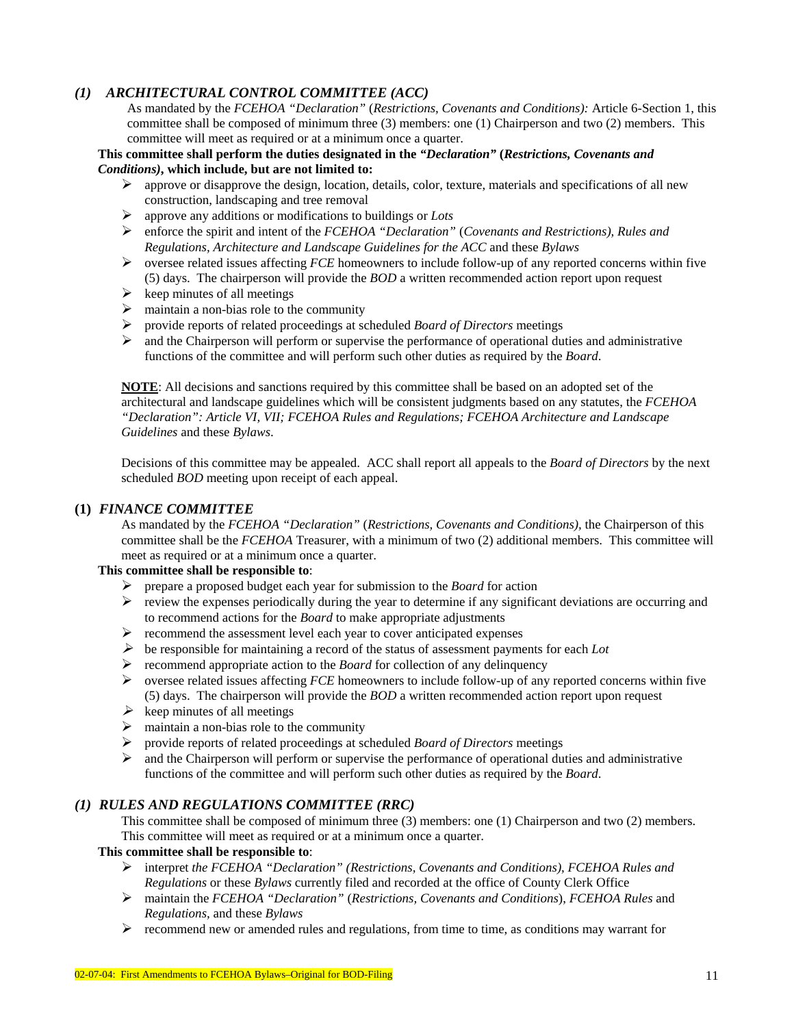## *(1) ARCHITECTURAL CONTROL COMMITTEE (ACC)*

As mandated by the *FCEHOA "Declaration"* (*Restrictions, Covenants and Conditions):* Article 6-Section 1, this committee shall be composed of minimum three (3) members: one (1) Chairperson and two (2) members.This committee will meet as required or at a minimum once a quarter.

#### **This committee shall perform the duties designated in the** *"Declaration"* **(***Restrictions, Covenants and Conditions)***, which include, but are not limited to:**

- $\triangleright$  approve or disapprove the design, location, details, color, texture, materials and specifications of all new construction, landscaping and tree removal
- ¾ approve any additions or modifications to buildings or *Lots*
- ¾ enforce the spirit and intent of the *FCEHOA "Declaration"* (*Covenants and Restrictions), Rules and Regulations, Architecture and Landscape Guidelines for the ACC* and these *Bylaws*
- ¾ oversee related issues affecting *FCE* homeowners to include follow-up of any reported concerns within five (5) days. The chairperson will provide the *BOD* a written recommended action report upon request
- $\triangleright$  keep minutes of all meetings
- $\triangleright$  maintain a non-bias role to the community
- ¾ provide reports of related proceedings at scheduled *Board of Directors* meetings
- ¾ and the Chairperson will perform or supervise the performance of operational duties and administrative functions of the committee and will perform such other duties as required by the *Board*.

**NOTE**: All decisions and sanctions required by this committee shall be based on an adopted set of the architectural and landscape guidelines which will be consistent judgments based on any statutes, the *FCEHOA "Declaration": Article VI, VII; FCEHOA Rules and Regulations; FCEHOA Architecture and Landscape Guidelines* and these *Bylaws*.

Decisions of this committee may be appealed. ACC shall report all appeals to the *Board of Directors* by the next scheduled *BOD* meeting upon receipt of each appeal.

### **(1)** *FINANCE COMMITTEE*

As mandated by the *FCEHOA "Declaration"* (*Restrictions, Covenants and Conditions),* the Chairperson of this committee shall be the *FCEHOA* Treasurer, with a minimum of two (2) additional members. This committee will meet as required or at a minimum once a quarter.

### **This committee shall be responsible to**:

- ¾ prepare a proposed budget each year for submission to the *Board* for action
- $\triangleright$  review the expenses periodically during the year to determine if any significant deviations are occurring and to recommend actions for the *Board* to make appropriate adjustments
- $\triangleright$  recommend the assessment level each year to cover anticipated expenses
- $\triangleright$  be responsible for maintaining a record of the status of assessment payments for each *Lot*
- ¾ recommend appropriate action to the *Board* for collection of any delinquency
- ¾ oversee related issues affecting *FCE* homeowners to include follow-up of any reported concerns within five (5) days. The chairperson will provide the *BOD* a written recommended action report upon request
- $\triangleright$  keep minutes of all meetings
- $\triangleright$  maintain a non-bias role to the community
- ¾ provide reports of related proceedings at scheduled *Board of Directors* meetings
- $\triangleright$  and the Chairperson will perform or supervise the performance of operational duties and administrative functions of the committee and will perform such other duties as required by the *Board*.

#### *(1) RULES AND REGULATIONS COMMITTEE (RRC)*

This committee shall be composed of minimum three (3) members: one (1) Chairperson and two (2) members. This committee will meet as required or at a minimum once a quarter.

#### **This committee shall be responsible to**:

- ¾ interpret *the FCEHOA "Declaration" (Restrictions, Covenants and Conditions), FCEHOA Rules and Regulations* or these *Bylaws* currently filed and recorded at the office of County Clerk Office
- ¾ maintain the *FCEHOA "Declaration"* (*Restrictions, Covenants and Conditions*), *FCEHOA Rules* and *Regulations,* and these *Bylaws*
- $\triangleright$  recommend new or amended rules and regulations, from time to time, as conditions may warrant for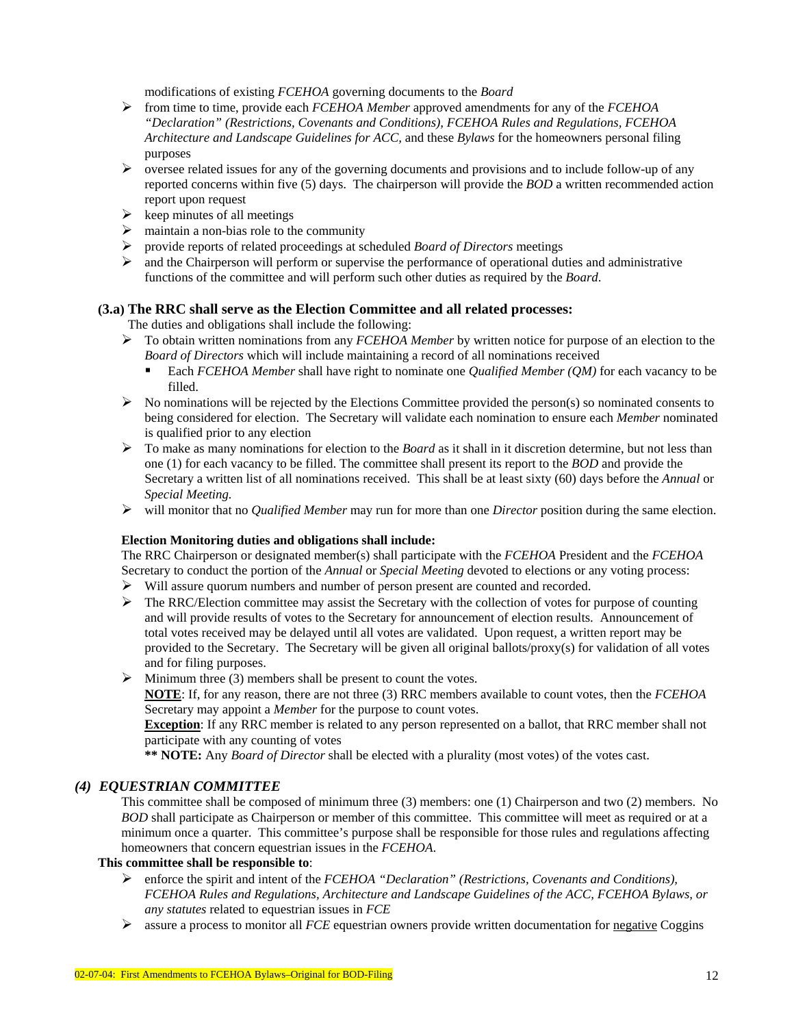modifications of existing *FCEHOA* governing documents to the *Board*

- ¾ from time to time, provide each *FCEHOA Member* approved amendments for any of the *FCEHOA "Declaration" (Restrictions, Covenants and Conditions), FCEHOA Rules and Regulations, FCEHOA Architecture and Landscape Guidelines for ACC,* and these *Bylaws* for the homeowners personal filing purposes
- ¾ oversee related issues for any of the governing documents and provisions and to include follow-up of any reported concerns within five (5) days. The chairperson will provide the *BOD* a written recommended action report upon request
- $\triangleright$  keep minutes of all meetings
- $\triangleright$  maintain a non-bias role to the community
- ¾ provide reports of related proceedings at scheduled *Board of Directors* meetings
- ¾ and the Chairperson will perform or supervise the performance of operational duties and administrative functions of the committee and will perform such other duties as required by the *Board*.

### **(3.a) The RRC shall serve as the Election Committee and all related processes:**

The duties and obligations shall include the following:

- ¾ To obtain written nominations from any *FCEHOA Member* by written notice for purpose of an election to the *Board of Directors* which will include maintaining a record of all nominations received
	- Each *FCEHOA Member* shall have right to nominate one *Qualified Member (QM)* for each vacancy to be filled.
- $\triangleright$  No nominations will be rejected by the Elections Committee provided the person(s) so nominated consents to being considered for election. The Secretary will validate each nomination to ensure each *Member* nominated is qualified prior to any election
- $\triangleright$  To make as many nominations for election to the *Board* as it shall in it discretion determine, but not less than one (1) for each vacancy to be filled. The committee shall present its report to the *BOD* and provide the Secretary a written list of all nominations received. This shall be at least sixty (60) days before the *Annual* or *Special Meeting.*
- ¾ will monitor that no *Qualified Member* may run for more than one *Director* position during the same election.

#### **Election Monitoring duties and obligations shall include:**

The RRC Chairperson or designated member(s) shall participate with the *FCEHOA* President and the *FCEHOA* Secretary to conduct the portion of the *Annual* or *Special Meeting* devoted to elections or any voting process:

- $\triangleright$  Will assure quorum numbers and number of person present are counted and recorded.
- $\triangleright$  The RRC/Election committee may assist the Secretary with the collection of votes for purpose of counting and will provide results of votes to the Secretary for announcement of election results. Announcement of total votes received may be delayed until all votes are validated. Upon request, a written report may be provided to the Secretary. The Secretary will be given all original ballots/proxy(s) for validation of all votes and for filing purposes.

#### $\triangleright$  Minimum three (3) members shall be present to count the votes.

**NOTE**: If, for any reason, there are not three (3) RRC members available to count votes, then the *FCEHOA*  Secretary may appoint a *Member* for the purpose to count votes.

**Exception**: If any RRC member is related to any person represented on a ballot, that RRC member shall not participate with any counting of votes

**\*\* NOTE:** Any *Board of Director* shall be elected with a plurality (most votes) of the votes cast.

#### *(4) EQUESTRIAN COMMITTEE*

This committee shall be composed of minimum three (3) members: one (1) Chairperson and two (2) members.No *BOD* shall participate as Chairperson or member of this committee. This committee will meet as required or at a minimum once a quarter. This committee's purpose shall be responsible for those rules and regulations affecting homeowners that concern equestrian issues in the *FCEHOA*.

#### **This committee shall be responsible to**:

- ¾ enforce the spirit and intent of the *FCEHOA "Declaration" (Restrictions, Covenants and Conditions), FCEHOA Rules and Regulations, Architecture and Landscape Guidelines of the ACC, FCEHOA Bylaws, or any statutes* related to equestrian issues in *FCE*
- ¾ assure a process to monitor all *FCE* equestrian owners provide written documentation for negative Coggins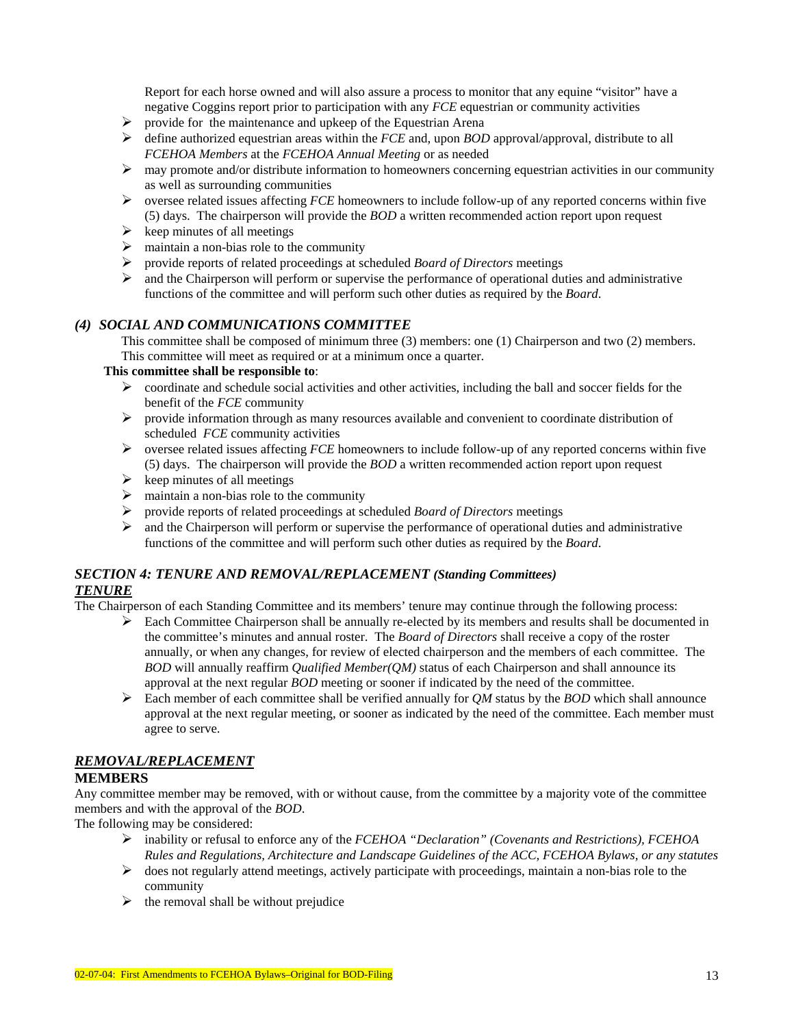Report for each horse owned and will also assure a process to monitor that any equine "visitor" have a negative Coggins report prior to participation with any *FCE* equestrian or community activities

- $\triangleright$  provide for the maintenance and upkeep of the Equestrian Arena
- ¾ define authorized equestrian areas within the *FCE* and, upon *BOD* approval/approval, distribute to all *FCEHOA Members* at the *FCEHOA Annual Meeting* or as needed
- $\triangleright$  may promote and/or distribute information to homeowners concerning equestrian activities in our community as well as surrounding communities
- ¾ oversee related issues affecting *FCE* homeowners to include follow-up of any reported concerns within five (5) days. The chairperson will provide the *BOD* a written recommended action report upon request
- $\triangleright$  keep minutes of all meetings
- $\triangleright$  maintain a non-bias role to the community
- ¾ provide reports of related proceedings at scheduled *Board of Directors* meetings
- $\triangleright$  and the Chairperson will perform or supervise the performance of operational duties and administrative functions of the committee and will perform such other duties as required by the *Board*.

### *(4) SOCIAL AND COMMUNICATIONS COMMITTEE*

This committee shall be composed of minimum three (3) members: one (1) Chairperson and two (2) members. This committee will meet as required or at a minimum once a quarter.

#### **This committee shall be responsible to**:

- $\triangleright$  coordinate and schedule social activities and other activities, including the ball and soccer fields for the benefit of the *FCE* community
- $\triangleright$  provide information through as many resources available and convenient to coordinate distribution of scheduled *FCE* community activities
- ¾ oversee related issues affecting *FCE* homeowners to include follow-up of any reported concerns within five (5) days. The chairperson will provide the *BOD* a written recommended action report upon request
- $\triangleright$  keep minutes of all meetings
- $\geq$  maintain a non-bias role to the community<br> $\geq$  provide reports of related proceedings at so
- ¾ provide reports of related proceedings at scheduled *Board of Directors* meetings
- $\triangleright$  and the Chairperson will perform or supervise the performance of operational duties and administrative functions of the committee and will perform such other duties as required by the *Board*.

## *SECTION 4: TENURE AND REMOVAL/REPLACEMENT (Standing Committees) TENURE*

The Chairperson of each Standing Committee and its members' tenure may continue through the following process:

- $\triangleright$  Each Committee Chairperson shall be annually re-elected by its members and results shall be documented in the committee's minutes and annual roster. The *Board of Directors* shall receive a copy of the roster annually, or when any changes, for review of elected chairperson and the members of each committee. The *BOD* will annually reaffirm *Qualified Member(QM)* status of each Chairperson and shall announce its approval at the next regular *BOD* meeting or sooner if indicated by the need of the committee.
- ¾ Each member of each committee shall be verified annually for *QM* status by the *BOD* which shall announce approval at the next regular meeting, or sooner as indicated by the need of the committee. Each member must agree to serve.

## *REMOVAL/REPLACEMENT*

### **MEMBERS**

Any committee member may be removed, with or without cause, from the committee by a majority vote of the committee members and with the approval of the *BOD*.

The following may be considered:

- ¾ inability or refusal to enforce any of the *FCEHOA "Declaration" (Covenants and Restrictions), FCEHOA Rules and Regulations, Architecture and Landscape Guidelines of the ACC, FCEHOA Bylaws, or any statutes*
- ¾ does not regularly attend meetings, actively participate with proceedings, maintain a non-bias role to the community
- $\triangleright$  the removal shall be without prejudice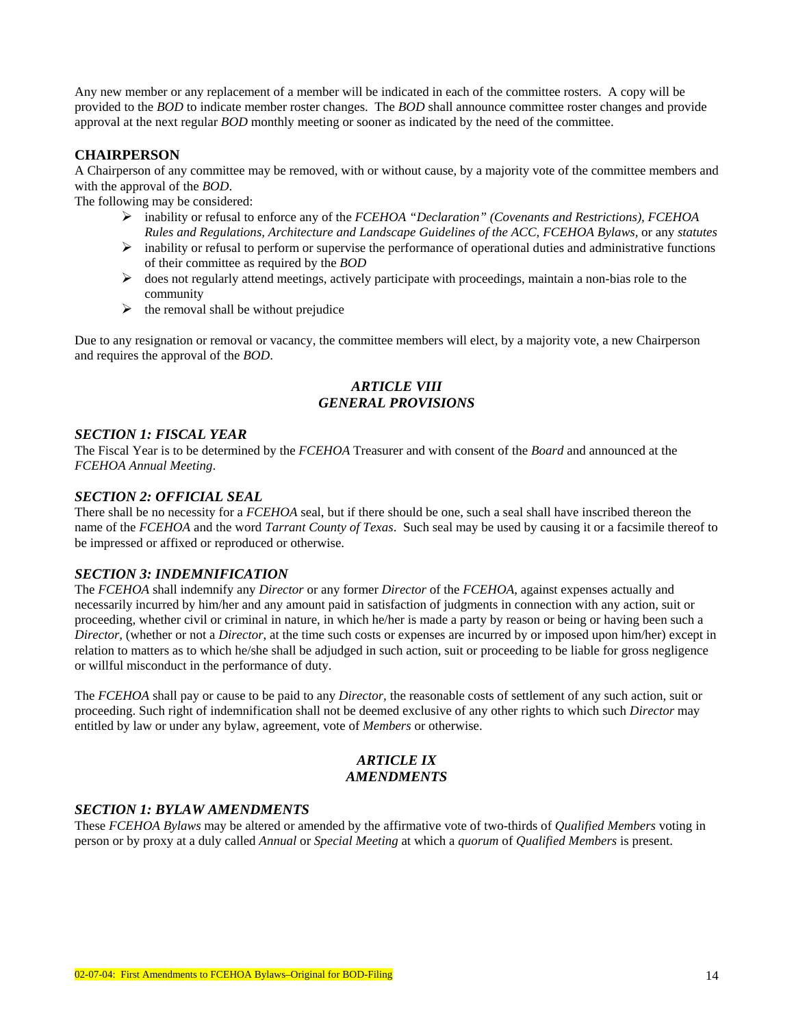Any new member or any replacement of a member will be indicated in each of the committee rosters. A copy will be provided to the *BOD* to indicate member roster changes. The *BOD* shall announce committee roster changes and provide approval at the next regular *BOD* monthly meeting or sooner as indicated by the need of the committee.

#### **CHAIRPERSON**

A Chairperson of any committee may be removed, with or without cause, by a majority vote of the committee members and with the approval of the *BOD*.

The following may be considered:

- ¾ inability or refusal to enforce any of the *FCEHOA "Declaration" (Covenants and Restrictions), FCEHOA Rules and Regulations, Architecture and Landscape Guidelines of the ACC, FCEHOA Bylaws,* or any *statutes*
- $\triangleright$  inability or refusal to perform or supervise the performance of operational duties and administrative functions of their committee as required by the *BOD*
- ¾ does not regularly attend meetings, actively participate with proceedings, maintain a non-bias role to the community
- $\triangleright$  the removal shall be without prejudice

Due to any resignation or removal or vacancy, the committee members will elect, by a majority vote, a new Chairperson and requires the approval of the *BOD*.

### *ARTICLE VIII GENERAL PROVISIONS*

#### *SECTION 1: FISCAL YEAR*

The Fiscal Year is to be determined by the *FCEHOA* Treasurer and with consent of the *Board* and announced at the *FCEHOA Annual Meeting*.

#### *SECTION 2: OFFICIAL SEAL*

There shall be no necessity for a *FCEHOA* seal, but if there should be one, such a seal shall have inscribed thereon the name of the *FCEHOA* and the word *Tarrant County of Texas*. Such seal may be used by causing it or a facsimile thereof to be impressed or affixed or reproduced or otherwise.

#### *SECTION 3: INDEMNIFICATION*

The *FCEHOA* shall indemnify any *Director* or any former *Director* of the *FCEHOA,* against expenses actually and necessarily incurred by him/her and any amount paid in satisfaction of judgments in connection with any action, suit or proceeding, whether civil or criminal in nature, in which he/her is made a party by reason or being or having been such a *Director,* (whether or not a *Director*, at the time such costs or expenses are incurred by or imposed upon him/her) except in relation to matters as to which he/she shall be adjudged in such action, suit or proceeding to be liable for gross negligence or willful misconduct in the performance of duty.

The *FCEHOA* shall pay or cause to be paid to any *Director,* the reasonable costs of settlement of any such action, suit or proceeding. Such right of indemnification shall not be deemed exclusive of any other rights to which such *Director* may entitled by law or under any bylaw, agreement, vote of *Members* or otherwise.

### *ARTICLE IX AMENDMENTS*

#### *SECTION 1: BYLAW AMENDMENTS*

These *FCEHOA Bylaws* may be altered or amended by the affirmative vote of two-thirds of *Qualified Members* voting in person or by proxy at a duly called *Annual* or *Special Meeting* at which a *quorum* of *Qualified Members* is present.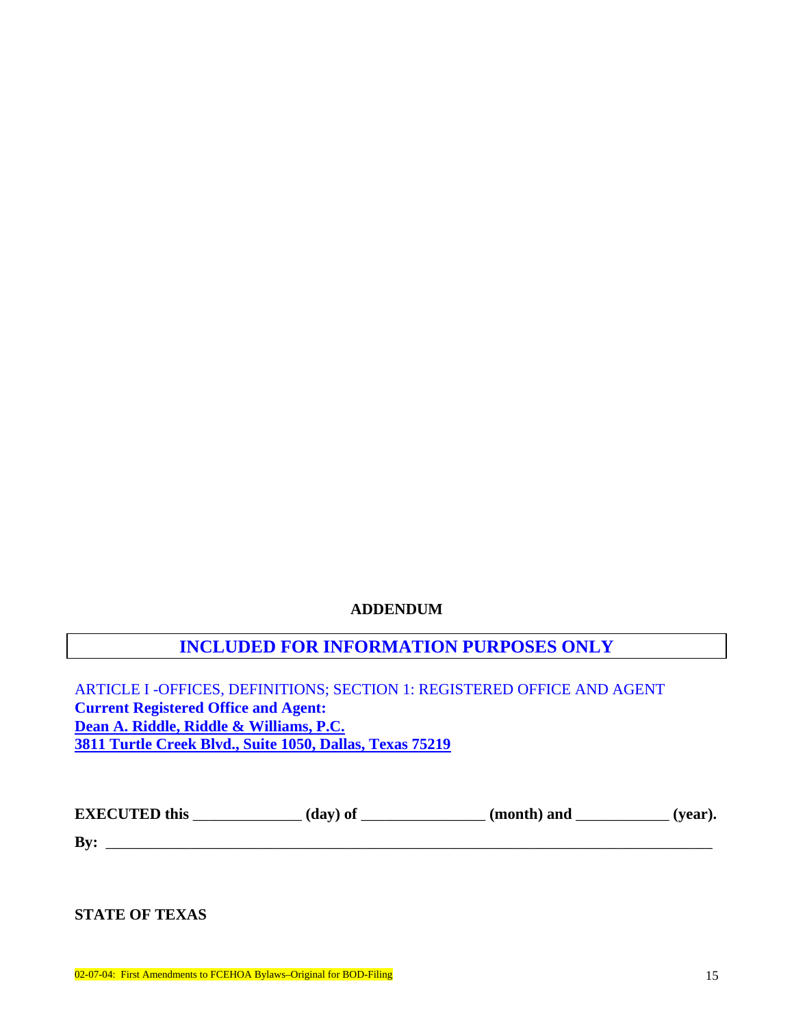# **ADDENDUM**

# **INCLUDED FOR INFORMATION PURPOSES ONLY**

ARTICLE I -OFFICES, DEFINITIONS; SECTION 1: REGISTERED OFFICE AND AGENT **Current Registered Office and Agent: Dean A. Riddle, Riddle & Williams, P.C. 3811 Turtle Creek Blvd., Suite 1050, Dallas, Texas 75219** 

| <b>EXECUTED</b> this | (day) of | (month) and | $\prime$ vear). |
|----------------------|----------|-------------|-----------------|
|----------------------|----------|-------------|-----------------|

**By:** \_\_\_\_\_\_\_\_\_\_\_\_\_\_\_\_\_\_\_\_\_\_\_\_\_\_\_\_\_\_\_\_\_\_\_\_\_\_\_\_\_\_\_\_\_\_\_\_\_\_\_\_\_\_\_\_\_\_\_\_\_\_\_\_\_\_\_\_\_\_\_\_\_\_\_\_\_\_

**STATE OF TEXAS**